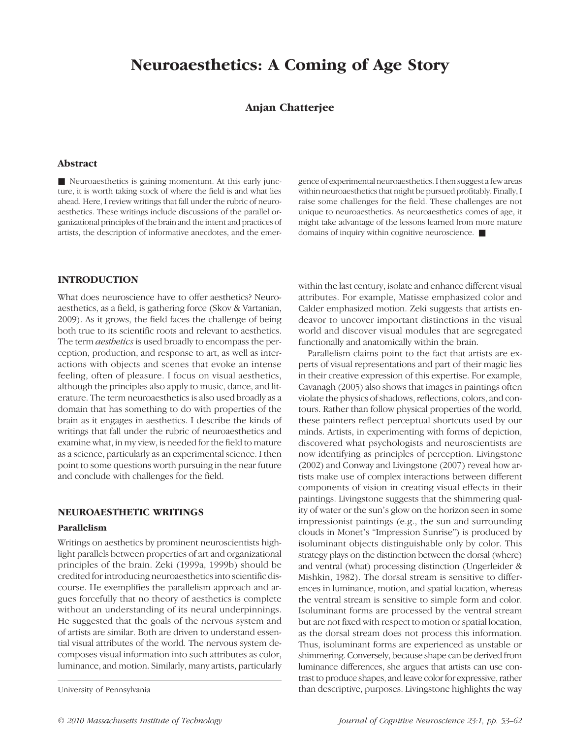# Neuroaesthetics: A Coming of Age Story

### Anjan Chatterjee

### Abstract

■ Neuroaesthetics is gaining momentum. At this early juncture, it is worth taking stock of where the field is and what lies ahead. Here, I review writings that fall under the rubric of neuroaesthetics. These writings include discussions of the parallel organizational principles of the brain and the intent and practices of artists, the description of informative anecdotes, and the emer-

gence of experimental neuroaesthetics. I then suggest a few areas within neuroaesthetics that might be pursued profitably. Finally, I raise some challenges for the field. These challenges are not unique to neuroaesthetics. As neuroaesthetics comes of age, it might take advantage of the lessons learned from more mature domains of inquiry within cognitive neuroscience. ■

### INTRODUCTION

What does neuroscience have to offer aesthetics? Neuroaesthetics, as a field, is gathering force (Skov & Vartanian, 2009). As it grows, the field faces the challenge of being both true to its scientific roots and relevant to aesthetics. The term *aesthetics* is used broadly to encompass the perception, production, and response to art, as well as interactions with objects and scenes that evoke an intense feeling, often of pleasure. I focus on visual aesthetics, although the principles also apply to music, dance, and literature. The term neuroaesthetics is also used broadly as a domain that has something to do with properties of the brain as it engages in aesthetics. I describe the kinds of writings that fall under the rubric of neuroaesthetics and examine what, in my view, is needed for the field to mature as a science, particularly as an experimental science. I then point to some questions worth pursuing in the near future and conclude with challenges for the field.

### NEUROAESTHETIC WRITINGS

#### Parallelism

Writings on aesthetics by prominent neuroscientists highlight parallels between properties of art and organizational principles of the brain. Zeki (1999a, 1999b) should be credited for introducing neuroaesthetics into scientific discourse. He exemplifies the parallelism approach and argues forcefully that no theory of aesthetics is complete without an understanding of its neural underpinnings. He suggested that the goals of the nervous system and of artists are similar. Both are driven to understand essential visual attributes of the world. The nervous system decomposes visual information into such attributes as color, luminance, and motion. Similarly, many artists, particularly

within the last century, isolate and enhance different visual attributes. For example, Matisse emphasized color and Calder emphasized motion. Zeki suggests that artists endeavor to uncover important distinctions in the visual world and discover visual modules that are segregated functionally and anatomically within the brain.

Parallelism claims point to the fact that artists are experts of visual representations and part of their magic lies in their creative expression of this expertise. For example, Cavanagh (2005) also shows that images in paintings often violate the physics of shadows, reflections, colors, and contours. Rather than follow physical properties of the world, these painters reflect perceptual shortcuts used by our minds. Artists, in experimenting with forms of depiction, discovered what psychologists and neuroscientists are now identifying as principles of perception. Livingstone (2002) and Conway and Livingstone (2007) reveal how artists make use of complex interactions between different components of vision in creating visual effects in their paintings. Livingstone suggests that the shimmering quality of water or the sun's glow on the horizon seen in some impressionist paintings (e.g., the sun and surrounding clouds in Monet's "Impression Sunrise") is produced by isoluminant objects distinguishable only by color. This strategy plays on the distinction between the dorsal (where) and ventral (what) processing distinction (Ungerleider & Mishkin, 1982). The dorsal stream is sensitive to differences in luminance, motion, and spatial location, whereas the ventral stream is sensitive to simple form and color. Isoluminant forms are processed by the ventral stream but are not fixed with respect to motion or spatial location, as the dorsal stream does not process this information. Thus, isoluminant forms are experienced as unstable or shimmering. Conversely, because shape can be derived from luminance differences, she argues that artists can use contrast to produce shapes, and leave color for expressive, rather University of Pennsylvania than descriptive, purposes. Livingstone highlights the way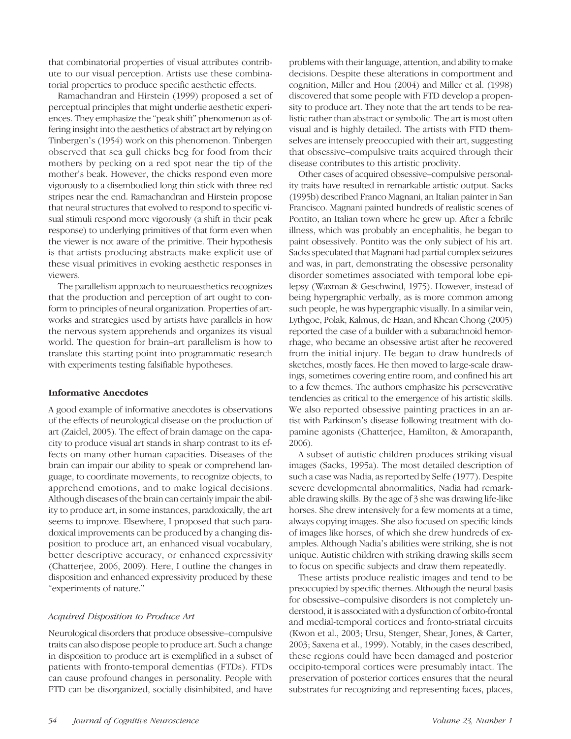that combinatorial properties of visual attributes contribute to our visual perception. Artists use these combinatorial properties to produce specific aesthetic effects.

Ramachandran and Hirstein (1999) proposed a set of perceptual principles that might underlie aesthetic experiences. They emphasize the "peak shift" phenomenon as offering insight into the aesthetics of abstract art by relying on Tinbergen's (1954) work on this phenomenon. Tinbergen observed that sea gull chicks beg for food from their mothers by pecking on a red spot near the tip of the mother's beak. However, the chicks respond even more vigorously to a disembodied long thin stick with three red stripes near the end. Ramachandran and Hirstein propose that neural structures that evolved to respond to specific visual stimuli respond more vigorously (a shift in their peak response) to underlying primitives of that form even when the viewer is not aware of the primitive. Their hypothesis is that artists producing abstracts make explicit use of these visual primitives in evoking aesthetic responses in viewers.

The parallelism approach to neuroaesthetics recognizes that the production and perception of art ought to conform to principles of neural organization. Properties of artworks and strategies used by artists have parallels in how the nervous system apprehends and organizes its visual world. The question for brain–art parallelism is how to translate this starting point into programmatic research with experiments testing falsifiable hypotheses.

### Informative Anecdotes

A good example of informative anecdotes is observations of the effects of neurological disease on the production of art (Zaidel, 2005). The effect of brain damage on the capacity to produce visual art stands in sharp contrast to its effects on many other human capacities. Diseases of the brain can impair our ability to speak or comprehend language, to coordinate movements, to recognize objects, to apprehend emotions, and to make logical decisions. Although diseases of the brain can certainly impair the ability to produce art, in some instances, paradoxically, the art seems to improve. Elsewhere, I proposed that such paradoxical improvements can be produced by a changing disposition to produce art, an enhanced visual vocabulary, better descriptive accuracy, or enhanced expressivity (Chatterjee, 2006, 2009). Here, I outline the changes in disposition and enhanced expressivity produced by these "experiments of nature."

### Acquired Disposition to Produce Art

Neurological disorders that produce obsessive–compulsive traits can also dispose people to produce art. Such a change in disposition to produce art is exemplified in a subset of patients with fronto-temporal dementias (FTDs). FTDs can cause profound changes in personality. People with FTD can be disorganized, socially disinhibited, and have

problems with their language, attention, and ability to make decisions. Despite these alterations in comportment and cognition, Miller and Hou (2004) and Miller et al. (1998) discovered that some people with FTD develop a propensity to produce art. They note that the art tends to be realistic rather than abstract or symbolic. The art is most often visual and is highly detailed. The artists with FTD themselves are intensely preoccupied with their art, suggesting that obsessive–compulsive traits acquired through their disease contributes to this artistic proclivity.

Other cases of acquired obsessive–compulsive personality traits have resulted in remarkable artistic output. Sacks (1995b) described Franco Magnani, an Italian painter in San Francisco. Magnani painted hundreds of realistic scenes of Pontito, an Italian town where he grew up. After a febrile illness, which was probably an encephalitis, he began to paint obsessively. Pontito was the only subject of his art. Sacks speculated that Magnani had partial complex seizures and was, in part, demonstrating the obsessive personality disorder sometimes associated with temporal lobe epilepsy (Waxman & Geschwind, 1975). However, instead of being hypergraphic verbally, as is more common among such people, he was hypergraphic visually. In a similar vein, Lythgoe, Polak, Kalmus, de Haan, and Khean Chong (2005) reported the case of a builder with a subarachnoid hemorrhage, who became an obsessive artist after he recovered from the initial injury. He began to draw hundreds of sketches, mostly faces. He then moved to large-scale drawings, sometimes covering entire room, and confined his art to a few themes. The authors emphasize his perseverative tendencies as critical to the emergence of his artistic skills. We also reported obsessive painting practices in an artist with Parkinson's disease following treatment with dopamine agonists (Chatterjee, Hamilton, & Amorapanth, 2006).

A subset of autistic children produces striking visual images (Sacks, 1995a). The most detailed description of such a case was Nadia, as reported by Selfe (1977). Despite severe developmental abnormalities, Nadia had remarkable drawing skills. By the age of 3 she was drawing life-like horses. She drew intensively for a few moments at a time, always copying images. She also focused on specific kinds of images like horses, of which she drew hundreds of examples. Although Nadia's abilities were striking, she is not unique. Autistic children with striking drawing skills seem to focus on specific subjects and draw them repeatedly.

These artists produce realistic images and tend to be preoccupied by specific themes. Although the neural basis for obsessive–compulsive disorders is not completely understood, it is associated with a dysfunction of orbito-frontal and medial-temporal cortices and fronto-striatal circuits (Kwon et al., 2003; Ursu, Stenger, Shear, Jones, & Carter, 2003; Saxena et al., 1999). Notably, in the cases described, these regions could have been damaged and posterior occipito-temporal cortices were presumably intact. The preservation of posterior cortices ensures that the neural substrates for recognizing and representing faces, places,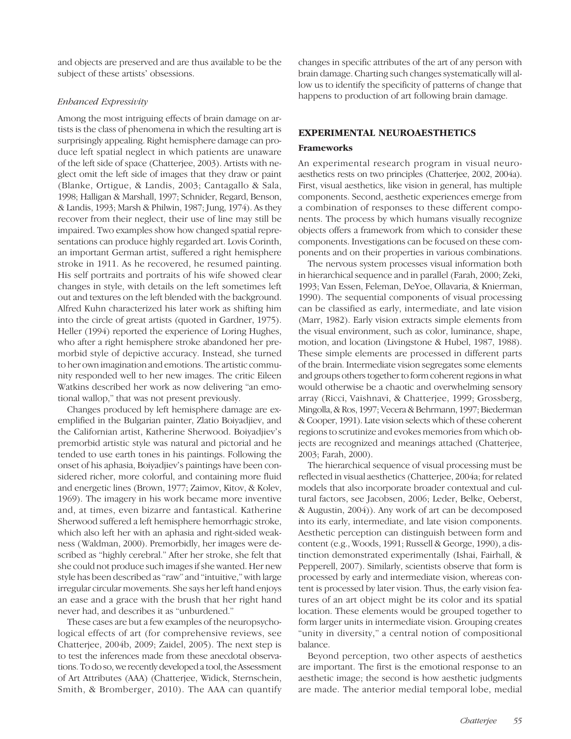and objects are preserved and are thus available to be the subject of these artists' obsessions.

### Enhanced Expressivity

Among the most intriguing effects of brain damage on artists is the class of phenomena in which the resulting art is surprisingly appealing. Right hemisphere damage can produce left spatial neglect in which patients are unaware of the left side of space (Chatterjee, 2003). Artists with neglect omit the left side of images that they draw or paint (Blanke, Ortigue, & Landis, 2003; Cantagallo & Sala, 1998; Halligan & Marshall, 1997; Schnider, Regard, Benson, & Landis, 1993; Marsh & Philwin, 1987; Jung, 1974). As they recover from their neglect, their use of line may still be impaired. Two examples show how changed spatial representations can produce highly regarded art. Lovis Corinth, an important German artist, suffered a right hemisphere stroke in 1911. As he recovered, he resumed painting. His self portraits and portraits of his wife showed clear changes in style, with details on the left sometimes left out and textures on the left blended with the background. Alfred Kuhn characterized his later work as shifting him into the circle of great artists (quoted in Gardner, 1975). Heller (1994) reported the experience of Loring Hughes, who after a right hemisphere stroke abandoned her premorbid style of depictive accuracy. Instead, she turned to her own imagination and emotions. The artistic community responded well to her new images. The critic Eileen Watkins described her work as now delivering "an emotional wallop," that was not present previously.

Changes produced by left hemisphere damage are exemplified in the Bulgarian painter, Zlatio Boiyadjiev, and the Californian artist, Katherine Sherwood. Boiyadjiev's premorbid artistic style was natural and pictorial and he tended to use earth tones in his paintings. Following the onset of his aphasia, Boiyadjiev's paintings have been considered richer, more colorful, and containing more fluid and energetic lines (Brown, 1977; Zaimov, Kitov, & Kolev, 1969). The imagery in his work became more inventive and, at times, even bizarre and fantastical. Katherine Sherwood suffered a left hemisphere hemorrhagic stroke, which also left her with an aphasia and right-sided weakness (Waldman, 2000). Premorbidly, her images were described as "highly cerebral." After her stroke, she felt that she could not produce such images if she wanted. Her new style has been described as"raw" and "intuitive," with large irregular circular movements. She says her left hand enjoys an ease and a grace with the brush that her right hand never had, and describes it as "unburdened."

These cases are but a few examples of the neuropsychological effects of art (for comprehensive reviews, see Chatterjee, 2004b, 2009; Zaidel, 2005). The next step is to test the inferences made from these anecdotal observations. To do so, we recently developed a tool, the Assessment of Art Attributes (AAA) (Chatterjee, Widick, Sternschein, Smith, & Bromberger, 2010). The AAA can quantify

changes in specific attributes of the art of any person with brain damage. Charting such changes systematically will allow us to identify the specificity of patterns of change that happens to production of art following brain damage.

### EXPERIMENTAL NEUROAESTHETICS

#### Frameworks

An experimental research program in visual neuroaesthetics rests on two principles (Chatterjee, 2002, 2004a). First, visual aesthetics, like vision in general, has multiple components. Second, aesthetic experiences emerge from a combination of responses to these different components. The process by which humans visually recognize objects offers a framework from which to consider these components. Investigations can be focused on these components and on their properties in various combinations.

The nervous system processes visual information both in hierarchical sequence and in parallel (Farah, 2000; Zeki, 1993; Van Essen, Feleman, DeYoe, Ollavaria, & Knierman, 1990). The sequential components of visual processing can be classified as early, intermediate, and late vision (Marr, 1982). Early vision extracts simple elements from the visual environment, such as color, luminance, shape, motion, and location (Livingstone & Hubel, 1987, 1988). These simple elements are processed in different parts of the brain. Intermediate vision segregates some elements and groups others together to form coherent regions in what would otherwise be a chaotic and overwhelming sensory array (Ricci, Vaishnavi, & Chatterjee, 1999; Grossberg, Mingolla, & Ros, 1997; Vecera & Behrmann, 1997; Biederman & Cooper, 1991). Late vision selects which of these coherent regions to scrutinize and evokes memories from which objects are recognized and meanings attached (Chatterjee, 2003; Farah, 2000).

The hierarchical sequence of visual processing must be reflected in visual aesthetics (Chatterjee, 2004a; for related models that also incorporate broader contextual and cultural factors, see Jacobsen, 2006; Leder, Belke, Oeberst, & Augustin, 2004)). Any work of art can be decomposed into its early, intermediate, and late vision components. Aesthetic perception can distinguish between form and content (e.g., Woods, 1991; Russell & George, 1990), a distinction demonstrated experimentally (Ishai, Fairhall, & Pepperell, 2007). Similarly, scientists observe that form is processed by early and intermediate vision, whereas content is processed by later vision. Thus, the early vision features of an art object might be its color and its spatial location. These elements would be grouped together to form larger units in intermediate vision. Grouping creates "unity in diversity," a central notion of compositional balance.

Beyond perception, two other aspects of aesthetics are important. The first is the emotional response to an aesthetic image; the second is how aesthetic judgments are made. The anterior medial temporal lobe, medial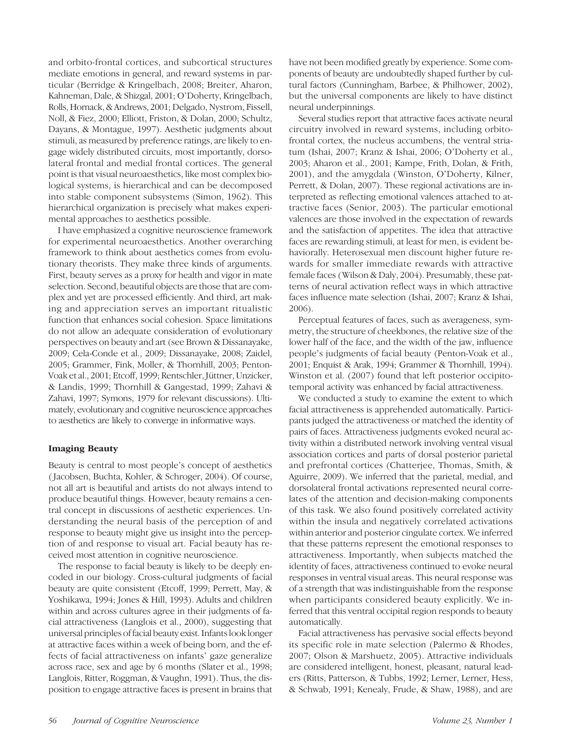and orbito-frontal cortices, and subcortical structures mediate emotions in general, and reward systems in particular (Berridge & Kringelbach, 2008; Breiter, Aharon, Kahneman, Dale, & Shizgal, 2001; O'Doherty, Kringelbach, Rolls, Hornack, & Andrews, 2001; Delgado, Nystrom, Fissell, Noll, & Fiez, 2000; Elliott, Friston, & Dolan, 2000; Schultz, Dayans, & Montague, 1997). Aesthetic judgments about stimuli, as measured by preference ratings, are likely to engage widely distributed circuits, most importantly, dorsolateral frontal and medial frontal cortices. The general point is that visual neuroaesthetics, like most complex biological systems, is hierarchical and can be decomposed into stable component subsystems (Simon, 1962). This hierarchical organization is precisely what makes experimental approaches to aesthetics possible.

I have emphasized a cognitive neuroscience framework for experimental neuroaesthetics. Another overarching framework to think about aesthetics comes from evolutionary theorists. They make three kinds of arguments. First, beauty serves as a proxy for health and vigor in mate selection. Second, beautiful objects are those that are complex and yet are processed efficiently. And third, art making and appreciation serves an important ritualistic function that enhances social cohesion. Space limitations do not allow an adequate consideration of evolutionary perspectives on beauty and art (see Brown & Dissanayake, 2009; Cela-Conde et al., 2009; Dissanayake, 2008; Zaidel, 2005; Grammer, Fink, Moller, & Thornhill, 2003; Penton-Voak et al., 2001; Etcoff, 1999; Rentschler, Jüttner, Unzicker, & Landis, 1999; Thornhill & Gangestad, 1999; Zahavi & Zahavi, 1997; Symons, 1979 for relevant discussions). Ultimately, evolutionary and cognitive neuroscience approaches to aesthetics are likely to converge in informative ways.

### Imaging Beauty

Beauty is central to most people's concept of aesthetics ( Jacobsen, Buchta, Kohler, & Schroger, 2004). Of course, not all art is beautiful and artists do not always intend to produce beautiful things. However, beauty remains a central concept in discussions of aesthetic experiences. Understanding the neural basis of the perception of and response to beauty might give us insight into the perception of and response to visual art. Facial beauty has received most attention in cognitive neuroscience.

The response to facial beauty is likely to be deeply encoded in our biology. Cross-cultural judgments of facial beauty are quite consistent (Etcoff, 1999; Perrett, May, & Yoshikawa, 1994; Jones & Hill, 1993). Adults and children within and across cultures agree in their judgments of facial attractiveness (Langlois et al., 2000), suggesting that universal principles of facial beauty exist. Infants look longer at attractive faces within a week of being born, and the effects of facial attractiveness on infants' gaze generalize across race, sex and age by 6 months (Slater et al., 1998; Langlois, Ritter, Roggman, & Vaughn, 1991). Thus, the disposition to engage attractive faces is present in brains that have not been modified greatly by experience. Some components of beauty are undoubtedly shaped further by cultural factors (Cunningham, Barbee, & Philhower, 2002), but the universal components are likely to have distinct neural underpinnings.

Several studies report that attractive faces activate neural circuitry involved in reward systems, including orbitofrontal cortex, the nucleus accumbens, the ventral striatum (Ishai, 2007; Kranz & Ishai, 2006; O'Doherty et al., 2003; Aharon et al., 2001; Kampe, Frith, Dolan, & Frith, 2001), and the amygdala (Winston, O'Doherty, Kilner, Perrett, & Dolan, 2007). These regional activations are interpreted as reflecting emotional valences attached to attractive faces (Senior, 2003). The particular emotional valences are those involved in the expectation of rewards and the satisfaction of appetites. The idea that attractive faces are rewarding stimuli, at least for men, is evident behaviorally. Heterosexual men discount higher future rewards for smaller immediate rewards with attractive female faces (Wilson & Daly, 2004). Presumably, these patterns of neural activation reflect ways in which attractive faces influence mate selection (Ishai, 2007; Kranz & Ishai, 2006).

Perceptual features of faces, such as averageness, symmetry, the structure of cheekbones, the relative size of the lower half of the face, and the width of the jaw, influence people's judgments of facial beauty (Penton-Voak et al., 2001; Enquist & Arak, 1994; Grammer & Thornhill, 1994). Winston et al. (2007) found that left posterior occipitotemporal activity was enhanced by facial attractiveness.

We conducted a study to examine the extent to which facial attractiveness is apprehended automatically. Participants judged the attractiveness or matched the identity of pairs of faces. Attractiveness judgments evoked neural activity within a distributed network involving ventral visual association cortices and parts of dorsal posterior parietal and prefrontal cortices (Chatterjee, Thomas, Smith, & Aguirre, 2009). We inferred that the parietal, medial, and dorsolateral frontal activations represented neural correlates of the attention and decision-making components of this task. We also found positively correlated activity within the insula and negatively correlated activations within anterior and posterior cingulate cortex. We inferred that these patterns represent the emotional responses to attractiveness. Importantly, when subjects matched the identity of faces, attractiveness continued to evoke neural responses in ventral visual areas. This neural response was of a strength that was indistinguishable from the response when participants considered beauty explicitly. We inferred that this ventral occipital region responds to beauty automatically.

Facial attractiveness has pervasive social effects beyond its specific role in mate selection (Palermo & Rhodes, 2007; Olson & Marshuetz, 2005). Attractive individuals are considered intelligent, honest, pleasant, natural leaders (Ritts, Patterson, & Tubbs, 1992; Lerner, Lerner, Hess, & Schwab, 1991; Kenealy, Frude, & Shaw, 1988), and are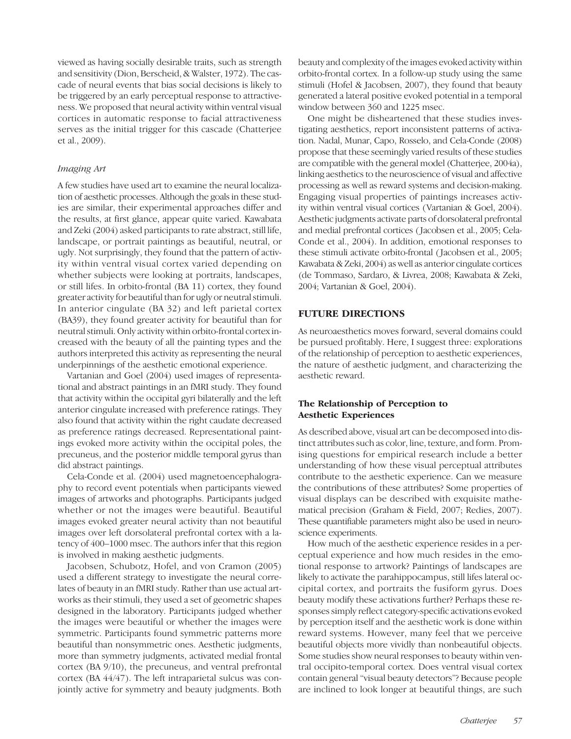viewed as having socially desirable traits, such as strength and sensitivity (Dion, Berscheid, & Walster, 1972). The cascade of neural events that bias social decisions is likely to be triggered by an early perceptual response to attractiveness. We proposed that neural activity within ventral visual cortices in automatic response to facial attractiveness serves as the initial trigger for this cascade (Chatterjee et al., 2009).

### Imaging Art

A few studies have used art to examine the neural localization of aesthetic processes. Although the goals in these studies are similar, their experimental approaches differ and the results, at first glance, appear quite varied. Kawabata and Zeki (2004) asked participants to rate abstract, still life, landscape, or portrait paintings as beautiful, neutral, or ugly. Not surprisingly, they found that the pattern of activity within ventral visual cortex varied depending on whether subjects were looking at portraits, landscapes, or still lifes. In orbito-frontal (BA 11) cortex, they found greater activity for beautiful than for ugly or neutral stimuli. In anterior cingulate (BA 32) and left parietal cortex (BA39), they found greater activity for beautiful than for neutral stimuli. Only activity within orbito-frontal cortex increased with the beauty of all the painting types and the authors interpreted this activity as representing the neural underpinnings of the aesthetic emotional experience.

Vartanian and Goel (2004) used images of representational and abstract paintings in an fMRI study. They found that activity within the occipital gyri bilaterally and the left anterior cingulate increased with preference ratings. They also found that activity within the right caudate decreased as preference ratings decreased. Representational paintings evoked more activity within the occipital poles, the precuneus, and the posterior middle temporal gyrus than did abstract paintings.

Cela-Conde et al. (2004) used magnetoencephalography to record event potentials when participants viewed images of artworks and photographs. Participants judged whether or not the images were beautiful. Beautiful images evoked greater neural activity than not beautiful images over left dorsolateral prefrontal cortex with a latency of 400–1000 msec. The authors infer that this region is involved in making aesthetic judgments.

Jacobsen, Schubotz, Hofel, and von Cramon (2005) used a different strategy to investigate the neural correlates of beauty in an fMRI study. Rather than use actual artworks as their stimuli, they used a set of geometric shapes designed in the laboratory. Participants judged whether the images were beautiful or whether the images were symmetric. Participants found symmetric patterns more beautiful than nonsymmetric ones. Aesthetic judgments, more than symmetry judgments, activated medial frontal cortex (BA 9/10), the precuneus, and ventral prefrontal cortex (BA 44/47). The left intraparietal sulcus was conjointly active for symmetry and beauty judgments. Both

beauty and complexity of the images evoked activity within orbito-frontal cortex. In a follow-up study using the same stimuli (Hofel & Jacobsen, 2007), they found that beauty generated a lateral positive evoked potential in a temporal window between 360 and 1225 msec.

One might be disheartened that these studies investigating aesthetics, report inconsistent patterns of activation. Nadal, Munar, Capo, Rosselo, and Cela-Conde (2008) propose that these seemingly varied results of these studies are compatible with the general model (Chatterjee, 2004a), linking aesthetics to the neuroscience of visual and affective processing as well as reward systems and decision-making. Engaging visual properties of paintings increases activity within ventral visual cortices (Vartanian & Goel, 2004). Aesthetic judgments activate parts of dorsolateral prefrontal and medial prefrontal cortices ( Jacobsen et al., 2005; Cela-Conde et al., 2004). In addition, emotional responses to these stimuli activate orbito-frontal ( Jacobsen et al., 2005; Kawabata & Zeki, 2004) as well as anterior cingulate cortices (de Tommaso, Sardaro, & Livrea, 2008; Kawabata & Zeki, 2004; Vartanian & Goel, 2004).

### FUTURE DIRECTIONS

As neuroaesthetics moves forward, several domains could be pursued profitably. Here, I suggest three: explorations of the relationship of perception to aesthetic experiences, the nature of aesthetic judgment, and characterizing the aesthetic reward.

### The Relationship of Perception to Aesthetic Experiences

As described above, visual art can be decomposed into distinct attributes such as color, line, texture, and form. Promising questions for empirical research include a better understanding of how these visual perceptual attributes contribute to the aesthetic experience. Can we measure the contributions of these attributes? Some properties of visual displays can be described with exquisite mathematical precision (Graham & Field, 2007; Redies, 2007). These quantifiable parameters might also be used in neuroscience experiments.

How much of the aesthetic experience resides in a perceptual experience and how much resides in the emotional response to artwork? Paintings of landscapes are likely to activate the parahippocampus, still lifes lateral occipital cortex, and portraits the fusiform gyrus. Does beauty modify these activations further? Perhaps these responses simply reflect category-specific activations evoked by perception itself and the aesthetic work is done within reward systems. However, many feel that we perceive beautiful objects more vividly than nonbeautiful objects. Some studies show neural responses to beauty within ventral occipito-temporal cortex. Does ventral visual cortex contain general "visual beauty detectors"? Because people are inclined to look longer at beautiful things, are such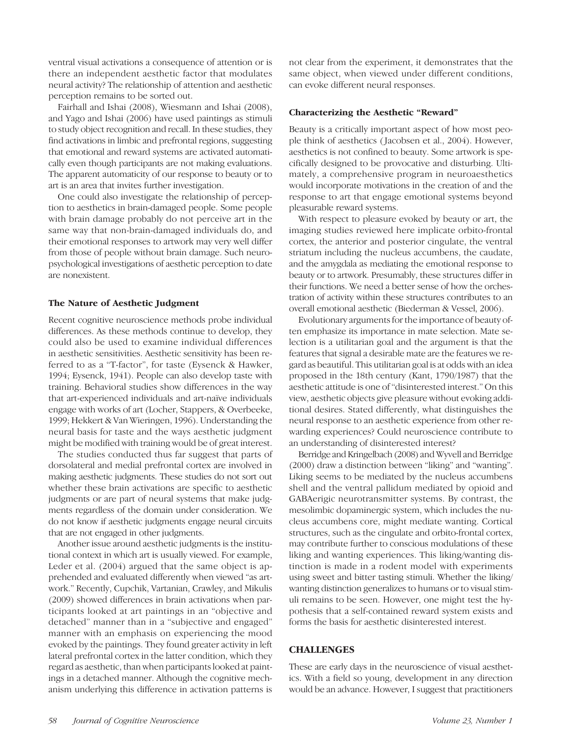ventral visual activations a consequence of attention or is there an independent aesthetic factor that modulates neural activity? The relationship of attention and aesthetic perception remains to be sorted out.

Fairhall and Ishai (2008), Wiesmann and Ishai (2008), and Yago and Ishai (2006) have used paintings as stimuli to study object recognition and recall. In these studies, they find activations in limbic and prefrontal regions, suggesting that emotional and reward systems are activated automatically even though participants are not making evaluations. The apparent automaticity of our response to beauty or to art is an area that invites further investigation.

One could also investigate the relationship of perception to aesthetics in brain-damaged people. Some people with brain damage probably do not perceive art in the same way that non-brain-damaged individuals do, and their emotional responses to artwork may very well differ from those of people without brain damage. Such neuropsychological investigations of aesthetic perception to date are nonexistent.

### The Nature of Aesthetic Judgment

Recent cognitive neuroscience methods probe individual differences. As these methods continue to develop, they could also be used to examine individual differences in aesthetic sensitivities. Aesthetic sensitivity has been referred to as a "T-factor", for taste (Eysenck & Hawker, 1994; Eysenck, 1941). People can also develop taste with training. Behavioral studies show differences in the way that art-experienced individuals and art-naïve individuals engage with works of art (Locher, Stappers, & Overbeeke, 1999; Hekkert & Van Wieringen, 1996). Understanding the neural basis for taste and the ways aesthetic judgment might be modified with training would be of great interest.

The studies conducted thus far suggest that parts of dorsolateral and medial prefrontal cortex are involved in making aesthetic judgments. These studies do not sort out whether these brain activations are specific to aesthetic judgments or are part of neural systems that make judgments regardless of the domain under consideration. We do not know if aesthetic judgments engage neural circuits that are not engaged in other judgments.

Another issue around aesthetic judgments is the institutional context in which art is usually viewed. For example, Leder et al. (2004) argued that the same object is apprehended and evaluated differently when viewed "as artwork." Recently, Cupchik, Vartanian, Crawley, and Mikulis (2009) showed differences in brain activations when participants looked at art paintings in an "objective and detached" manner than in a "subjective and engaged" manner with an emphasis on experiencing the mood evoked by the paintings. They found greater activity in left lateral prefrontal cortex in the latter condition, which they regard as aesthetic, than when participants looked at paintings in a detached manner. Although the cognitive mechanism underlying this difference in activation patterns is not clear from the experiment, it demonstrates that the same object, when viewed under different conditions, can evoke different neural responses.

### Characterizing the Aesthetic "Reward"

Beauty is a critically important aspect of how most people think of aesthetics ( Jacobsen et al., 2004). However, aesthetics is not confined to beauty. Some artwork is specifically designed to be provocative and disturbing. Ultimately, a comprehensive program in neuroaesthetics would incorporate motivations in the creation of and the response to art that engage emotional systems beyond pleasurable reward systems.

With respect to pleasure evoked by beauty or art, the imaging studies reviewed here implicate orbito-frontal cortex, the anterior and posterior cingulate, the ventral striatum including the nucleus accumbens, the caudate, and the amygdala as mediating the emotional response to beauty or to artwork. Presumably, these structures differ in their functions. We need a better sense of how the orchestration of activity within these structures contributes to an overall emotional aesthetic (Biederman & Vessel, 2006).

Evolutionary arguments for the importance of beauty often emphasize its importance in mate selection. Mate selection is a utilitarian goal and the argument is that the features that signal a desirable mate are the features we regard as beautiful. This utilitarian goal is at odds with an idea proposed in the 18th century (Kant, 1790/1987) that the aesthetic attitude is one of "disinterested interest." On this view, aesthetic objects give pleasure without evoking additional desires. Stated differently, what distinguishes the neural response to an aesthetic experience from other rewarding experiences? Could neuroscience contribute to an understanding of disinterested interest?

Berridge and Kringelbach (2008) and Wyvell and Berridge (2000) draw a distinction between "liking" and "wanting". Liking seems to be mediated by the nucleus accumbens shell and the ventral pallidum mediated by opioid and GABAerigic neurotransmitter systems. By contrast, the mesolimbic dopaminergic system, which includes the nucleus accumbens core, might mediate wanting. Cortical structures, such as the cingulate and orbito-frontal cortex, may contribute further to conscious modulations of these liking and wanting experiences. This liking/wanting distinction is made in a rodent model with experiments using sweet and bitter tasting stimuli. Whether the liking/ wanting distinction generalizes to humans or to visual stimuli remains to be seen. However, one might test the hypothesis that a self-contained reward system exists and forms the basis for aesthetic disinterested interest.

### **CHALLENGES**

These are early days in the neuroscience of visual aesthetics. With a field so young, development in any direction would be an advance. However, I suggest that practitioners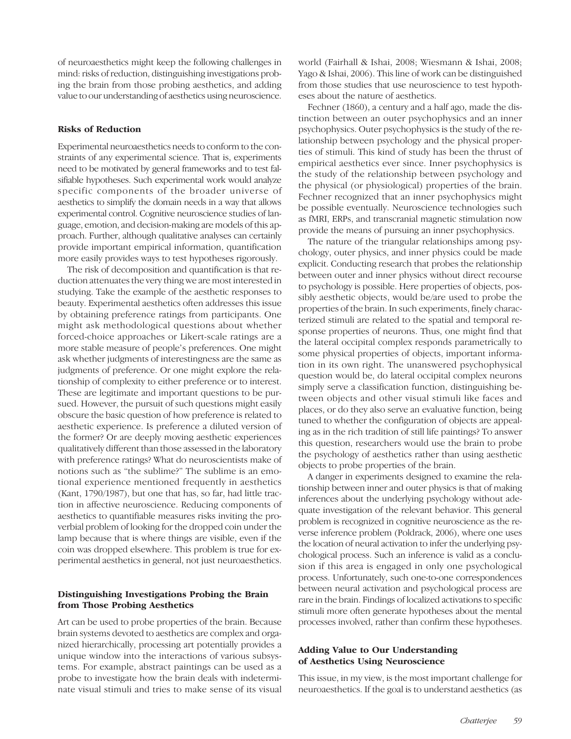of neuroaesthetics might keep the following challenges in mind: risks of reduction, distinguishing investigations probing the brain from those probing aesthetics, and adding value to our understanding of aesthetics using neuroscience.

### Risks of Reduction

Experimental neuroaesthetics needs to conform to the constraints of any experimental science. That is, experiments need to be motivated by general frameworks and to test falsifiable hypotheses. Such experimental work would analyze specific components of the broader universe of aesthetics to simplify the domain needs in a way that allows experimental control. Cognitive neuroscience studies of language, emotion, and decision-making are models of this approach. Further, although qualitative analyses can certainly provide important empirical information, quantification more easily provides ways to test hypotheses rigorously.

The risk of decomposition and quantification is that reduction attenuates the very thing we are most interested in studying. Take the example of the aesthetic responses to beauty. Experimental aesthetics often addresses this issue by obtaining preference ratings from participants. One might ask methodological questions about whether forced-choice approaches or Likert-scale ratings are a more stable measure of people's preferences. One might ask whether judgments of interestingness are the same as judgments of preference. Or one might explore the relationship of complexity to either preference or to interest. These are legitimate and important questions to be pursued. However, the pursuit of such questions might easily obscure the basic question of how preference is related to aesthetic experience. Is preference a diluted version of the former? Or are deeply moving aesthetic experiences qualitatively different than those assessed in the laboratory with preference ratings? What do neuroscientists make of notions such as "the sublime?" The sublime is an emotional experience mentioned frequently in aesthetics (Kant, 1790/1987), but one that has, so far, had little traction in affective neuroscience. Reducing components of aesthetics to quantifiable measures risks inviting the proverbial problem of looking for the dropped coin under the lamp because that is where things are visible, even if the coin was dropped elsewhere. This problem is true for experimental aesthetics in general, not just neuroaesthetics.

### Distinguishing Investigations Probing the Brain from Those Probing Aesthetics

Art can be used to probe properties of the brain. Because brain systems devoted to aesthetics are complex and organized hierarchically, processing art potentially provides a unique window into the interactions of various subsystems. For example, abstract paintings can be used as a probe to investigate how the brain deals with indeterminate visual stimuli and tries to make sense of its visual

world (Fairhall & Ishai, 2008; Wiesmann & Ishai, 2008; Yago & Ishai, 2006). This line of work can be distinguished from those studies that use neuroscience to test hypotheses about the nature of aesthetics.

Fechner (1860), a century and a half ago, made the distinction between an outer psychophysics and an inner psychophysics. Outer psychophysics is the study of the relationship between psychology and the physical properties of stimuli. This kind of study has been the thrust of empirical aesthetics ever since. Inner psychophysics is the study of the relationship between psychology and the physical (or physiological) properties of the brain. Fechner recognized that an inner psychophysics might be possible eventually. Neuroscience technologies such as fMRI, ERPs, and transcranial magnetic stimulation now provide the means of pursuing an inner psychophysics.

The nature of the triangular relationships among psychology, outer physics, and inner physics could be made explicit. Conducting research that probes the relationship between outer and inner physics without direct recourse to psychology is possible. Here properties of objects, possibly aesthetic objects, would be/are used to probe the properties of the brain. In such experiments, finely characterized stimuli are related to the spatial and temporal response properties of neurons. Thus, one might find that the lateral occipital complex responds parametrically to some physical properties of objects, important information in its own right. The unanswered psychophysical question would be, do lateral occipital complex neurons simply serve a classification function, distinguishing between objects and other visual stimuli like faces and places, or do they also serve an evaluative function, being tuned to whether the configuration of objects are appealing as in the rich tradition of still life paintings? To answer this question, researchers would use the brain to probe the psychology of aesthetics rather than using aesthetic objects to probe properties of the brain.

A danger in experiments designed to examine the relationship between inner and outer physics is that of making inferences about the underlying psychology without adequate investigation of the relevant behavior. This general problem is recognized in cognitive neuroscience as the reverse inference problem (Poldrack, 2006), where one uses the location of neural activation to infer the underlying psychological process. Such an inference is valid as a conclusion if this area is engaged in only one psychological process. Unfortunately, such one-to-one correspondences between neural activation and psychological process are rare in the brain. Findings of localized activations to specific stimuli more often generate hypotheses about the mental processes involved, rather than confirm these hypotheses.

### Adding Value to Our Understanding of Aesthetics Using Neuroscience

This issue, in my view, is the most important challenge for neuroaesthetics. If the goal is to understand aesthetics (as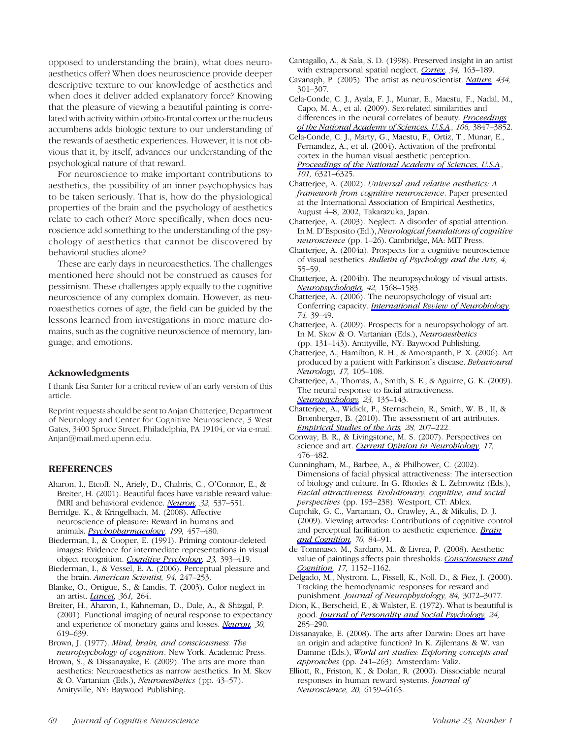opposed to understanding the brain), what does neuroaesthetics offer? When does neuroscience provide deeper descriptive texture to our knowledge of aesthetics and when does it deliver added explanatory force? Knowing that the pleasure of viewing a beautiful painting is correlated with activity within orbito-frontal cortex or the nucleus accumbens adds biologic texture to our understanding of the rewards of aesthetic experiences. However, it is not obvious that it, by itself, advances our understanding of the psychological nature of that reward.

For neuroscience to make important contributions to aesthetics, the possibility of an inner psychophysics has to be taken seriously. That is, how do the physiological properties of the brain and the psychology of aesthetics relate to each other? More specifically, when does neuroscience add something to the understanding of the psychology of aesthetics that cannot be discovered by behavioral studies alone?

These are early days in neuroaesthetics. The challenges mentioned here should not be construed as causes for pessimism. These challenges apply equally to the cognitive neuroscience of any complex domain. However, as neuroaesthetics comes of age, the field can be guided by the lessons learned from investigations in more mature domains, such as the cognitive neuroscience of memory, language, and emotions.

#### Acknowledgments

I thank Lisa Santer for a critical review of an early version of this article.

Reprint requests should be sent to Anjan Chatterjee, Department of Neurology and Center for Cognitive Neuroscience, 3 West Gates, 3400 Spruce Street, Philadelphia, PA 19104, or via e-mail: Anjan@mail.med.upenn.edu.

#### REFERENCES

- Aharon, I., Etcoff, N., Ariely, D., Chabris, C., O'Connor, E., & Breiter, H. (2001). Beautiful faces have variable reward value: fMRI and behavioral evidence. *Neuron*, 32, 537-551.
- Berridge, K., & Kringelbach, M. (2008). Affective neuroscience of pleasure: Reward in humans and animals. *Psychopharmacology*, 199, 457–480.
- Biederman, I., & Cooper, E. (1991). Priming contour-deleted images: Evidence for intermediate representations in visual object recognition. Cognitive Psychology, 23, 393-419.
- Biederman, I., & Vessel, E. A. (2006). Perceptual pleasure and the brain. American Scientist, 94, 247–253.
- Blanke, O., Ortigue, S., & Landis, T. (2003). Color neglect in an artist. *Lancet*, 361, 264.
- Breiter, H., Aharon, I., Kahneman, D., Dale, A., & Shizgal, P. (2001). Functional imaging of neural response to expectancy and experience of monetary gains and losses. *Neuron*, 30, 619–639.

Brown, J. (1977). Mind, brain, and consciousness. The neuropsychology of cognition. New York: Academic Press.

Brown, S., & Dissanayake, E. (2009). The arts are more than aesthetics: Neuroaesthetics as narrow aesthetics. In M. Skov & O. Vartanian (Eds.), Neuroaesthetics (pp. 43–57). Amityville, NY: Baywood Publishing.

- Cantagallo, A., & Sala, S. D. (1998). Preserved insight in an artist with extrapersonal spatial neglect. Cortex, 34, 163-189.
- Cavanagh, P. (2005). The artist as neuroscientist. Nature, 434, 301–307.

Cela-Conde, C. J., Ayala, F. J., Munar, E., Maestu, F., Nadal, M., Capo, M. A., et al. (2009). Sex-related similarities and differences in the neural correlates of beauty. Proceedings of the National Academy of Sciences, U.S.A., 106, 3847–3852.

Cela-Conde, C. J., Marty, G., Maestu, F., Ortiz, T., Munar, E., Fernandez, A., et al. (2004). Activation of the prefrontal cortex in the human visual aesthetic perception. Proceedings of the National Academy of Sciences, U.S.A., 101, 6321–6325.

- Chatterjee, A. (2002). Universal and relative aesthetics: A framework from cognitive neuroscience. Paper presented at the International Association of Empirical Aesthetics, August 4–8, 2002, Takarazuka, Japan.
- Chatterjee, A. (2003). Neglect. A disorder of spatial attention. In M. D'Esposito (Ed.), Neurological foundations of cognitive neuroscience (pp. 1–26). Cambridge, MA: MIT Press.
- Chatterjee, A. (2004a). Prospects for a cognitive neuroscience of visual aesthetics. Bulletin of Psychology and the Arts, 4, 55–59.
- Chatterjee, A. (2004b). The neuropsychology of visual artists. Neuropsychologia, 42, 1568-1583.
- Chatterjee, A. (2006). The neuropsychology of visual art: Conferring capacity. *International Review of Neurobiology*, 74, 39–49.
- Chatterjee, A. (2009). Prospects for a neuropsychology of art. In M. Skov & O. Vartanian (Eds.), Neuroaesthetics (pp. 131–143). Amityville, NY: Baywood Publishing.
- Chatterjee, A., Hamilton, R. H., & Amorapanth, P. X. (2006). Art produced by a patient with Parkinson's disease. Behavioural Neurology, 17, 105–108.
- Chatterjee, A., Thomas, A., Smith, S. E., & Aguirre, G. K. (2009). The neural response to facial attractiveness. Neuropsychology, 23, 135-143.
- Chatterjee, A., Widick, P., Sternschein, R., Smith, W. B., II, & Bromberger, B. (2010). The assessment of art attributes. Empirical Studies of the Arts, 28, 207–222.
- Conway, B. R., & Livingstone, M. S. (2007). Perspectives on science and art. Current Opinion in Neurobiology, 17, 476–482.
- Cunningham, M., Barbee, A., & Philhower, C. (2002). Dimensions of facial physical attractiveness: The intersection of biology and culture. In G. Rhodes & L. Zebrowitz (Eds.), Facial attractiveness. Evolutionary, cognitive, and social perspectives (pp. 193–238). Westport, CT: Ablex.
- Cupchik, G. C., Vartanian, O., Crawley, A., & Mikulis, D. J. (2009). Viewing artworks: Contributions of cognitive control and perceptual facilitation to aesthetic experience. Brain and Cognition, 70, 84-91.
- de Tommaso, M., Sardaro, M., & Livrea, P. (2008). Aesthetic value of paintings affects pain thresholds. Consciousness and Cognition, 17, 1152-1162.
- Delgado, M., Nystrom, L., Fissell, K., Noll, D., & Fiez, J. (2000). Tracking the hemodynamic responses for reward and punishment. Journal of Neurophysiology, 84, 3072–3077.
- Dion, K., Berscheid, E., & Walster, E. (1972). What is beautiful is good. Journal of Personality and Social Psychology, 24, 285–290.
- Dissanayake, E. (2008). The arts after Darwin: Does art have an origin and adaptive function? In K. Zijlemans & W. van Damme (Eds.), World art studies: Exploring concepts and approaches (pp. 241–263). Amsterdam: Valiz.
- Elliott, R., Friston, K., & Dolan, R. (2000). Dissociable neural responses in human reward systems. Journal of Neuroscience, 20, 6159–6165.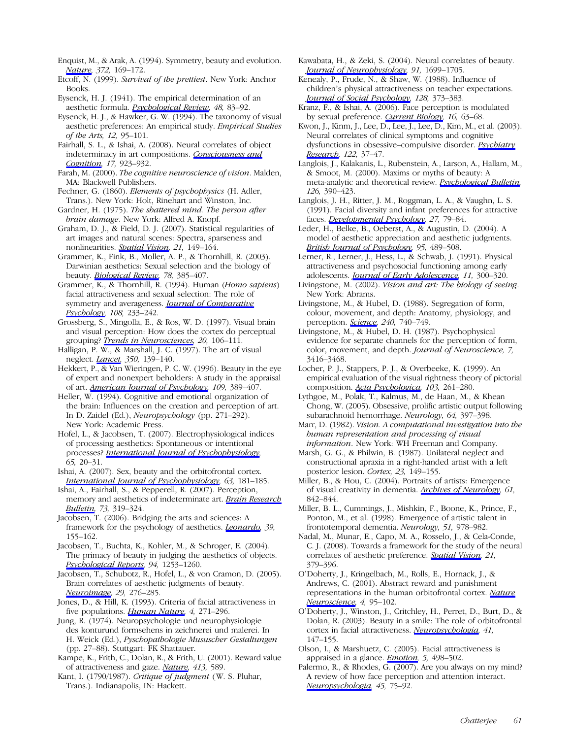Enquist, M., & Arak, A. (1994). Symmetry, beauty and evolution. Nature, 372, 169-172.

Etcoff, N. (1999). Survival of the prettiest. New York: Anchor Books.

Eysenck, H. J. (1941). The empirical determination of an aesthetic formula. *Psychological Review*, 48, 83-92.

Eysenck, H. J., & Hawker, G. W. (1994). The taxonomy of visual aesthetic preferences: An empirical study. Empirical Studies of the Arts, 12, 95–101.

Fairhall, S. L., & Ishai, A. (2008). Neural correlates of object indeterminacy in art compositions. Consciousness and Cognition, 17, 923-932.

Farah, M. (2000). The cognitive neuroscience of vision. Malden, MA: Blackwell Publishers.

Fechner, G. (1860). Elements of psychophysics (H. Adler, Trans.). New York: Holt, Rinehart and Winston, Inc.

Gardner, H. (1975). The shattered mind. The person after brain damage. New York: Alfred A. Knopf.

Graham, D. J., & Field, D. J. (2007). Statistical regularities of art images and natural scenes: Spectra, sparseness and nonlinearities. Spatial Vision, 21, 149-164.

Grammer, K., Fink, B., Moller, A. P., & Thornhill, R. (2003). Darwinian aesthetics: Sexual selection and the biology of beauty. **Biological Review**, 78, 385-407.

Grammer, K., & Thornhill, R. (1994). Human (Homo sapiens) facial attractiveness and sexual selection: The role of symmetry and averageness. Journal of Comparative Psychology, 108, 233-242.

Grossberg, S., Mingolla, E., & Ros, W. D. (1997). Visual brain and visual perception: How does the cortex do perceptual grouping? *Trends in Neurosciences*, 20, 106-111.

Halligan, P. W., & Marshall, J. C. (1997). The art of visual neglect. *Lancet*, 350, 139-140.

Hekkert, P., & Van Wieringen, P. C. W. (1996). Beauty in the eye of expert and nonexpert beholders: A study in the appraisal of art. American Journal of Psychology, 109, 389-407.

Heller, W. (1994). Cognitive and emotional organization of the brain: Influences on the creation and perception of art. In D. Zaidel (Ed.), Neuropsychology (pp. 271–292). New York: Academic Press.

Hofel, L., & Jacobsen, T. (2007). Electrophysiological indices of processing aesthetics: Spontaneous or intentional processes? International Journal of Psychophysiology, 65, 20–31.

Ishai, A. (2007). Sex, beauty and the orbitofrontal cortex. International Journal of Psychophysiology, 63, 181–185.

Ishai, A., Fairhall, S., & Pepperell, R. (2007). Perception, memory and aesthetics of indeterminate art. **Brain Research** Bulletin, 73, 319–324.

Jacobsen, T. (2006). Bridging the arts and sciences: A framework for the psychology of aesthetics. *Leonardo*, 39, 155–162.

Jacobsen, T., Buchta, K., Kohler, M., & Schroger, E. (2004). The primacy of beauty in judging the aesthetics of objects. Psychological Reports, 94, 1253–1260.

Jacobsen, T., Schubotz, R., Hofel, L., & von Cramon, D. (2005). Brain correlates of aesthetic judgments of beauty. Neuroimage, 29, 276–285.

Jones, D., & Hill, K. (1993). Criteria of facial attractiveness in five populations. Human Nature, 4, 271-296.

Jung, R. (1974). Neuropsychologie und neurophysiologie des konturund formsehens in zeichnerei und malerei. In H. Weick (Ed.), Pyschopathologie Mususcher Gestaltungen (pp. 27–88). Stuttgart: FK Shattauer.

Kampe, K., Frith, C., Dolan, R., & Frith, U. (2001). Reward value of attractiveness and gaze. *Nature*, 413, 589.

Kant, I. (1790/1987). Critique of judgment (W. S. Pluhar, Trans.). Indianapolis, IN: Hackett.

Kawabata, H., & Zeki, S. (2004). Neural correlates of beauty. Journal of Neurophysiology, 91, 1699–1705.

Kenealy, P., Frude, N., & Shaw, W. (1988). Influence of children's physical attractiveness on teacher expectations. Journal of Social Psychology, 128, 373-383.

Kranz, F., & Ishai, A. (2006). Face perception is modulated by sexual preference. Current Biology, 16, 63-68.

Kwon, J., Kinm, J., Lee, D., Lee, J., Lee, D., Kim, M., et al. (2003). Neural correlates of clinical symptoms and cognitive dysfunctions in obsessive–compulsive disorder. **Psychiatry** Research, 122, 37–47.

Langlois, J., Kalakanis, L., Rubenstein, A., Larson, A., Hallam, M., & Smoot, M. (2000). Maxims or myths of beauty: A meta-analytic and theoretical review. Psychological Bulletin, 126, 390–423.

Langlois, J. H., Ritter, J. M., Roggman, L. A., & Vaughn, L. S. (1991). Facial diversity and infant preferences for attractive faces. Developmental Psychology, 27, 79-84.

Leder, H., Belke, B., Oeberst, A., & Augustin, D. (2004). A model of aesthetic appreciation and aesthetic judgments. British Journal of Psychology, 95, 489-508.

Lerner, R., Lerner, J., Hess, L., & Schwab, J. (1991). Physical attractiveness and psychosocial functioning among early adolescents. *Journal of Early Adolescence*, 11, 300-320.

Livingstone, M. (2002). Vision and art: The biology of seeing. New York: Abrams.

Livingstone, M., & Hubel, D. (1988). Segregation of form, colour, movement, and depth: Anatomy, physiology, and perception. Science, 240, 740-749.

Livingstone, M., & Hubel, D. H. (1987). Psychophysical evidence for separate channels for the perception of form, color, movement, and depth. Journal of Neuroscience, 7, 3416–3468.

Locher, P. J., Stappers, P. J., & Overbeeke, K. (1999). An empirical evaluation of the visual rightness theory of pictorial composition. Acta Psychologica, 103, 261-280.

Lythgoe, M., Polak, T., Kalmus, M., de Haan, M., & Khean Chong, W. (2005). Obsessive, prolific artistic output following subarachnoid hemorrhage. Neurology, 64, 397–398.

Marr, D. (1982). Vision. A computational investigation into the human representation and processing of visual information. New York: WH Freeman and Company.

Marsh, G. G., & Philwin, B. (1987). Unilateral neglect and constructional apraxia in a right-handed artist with a left posterior lesion. Cortex, 23, 149–155.

Miller, B., & Hou, C. (2004). Portraits of artists: Emergence of visual creativity in dementia. Archives of Neurology, 61, 842–844.

Miller, B. L., Cummings, J., Mishkin, F., Boone, K., Prince, F., Ponton, M., et al. (1998). Emergence of artistic talent in frontotemporal dementia. Neurology, 51, 978–982.

Nadal, M., Munar, E., Capo, M. A., Rosselo, J., & Cela-Conde, C. J. (2008). Towards a framework for the study of the neural correlates of aesthetic preference. Spatial Vision, 21, 379–396.

O'Doherty, J., Kringelbach, M., Rolls, E., Hornack, J., & Andrews, C. (2001). Abstract reward and punishment representations in the human orbitofrontal cortex. Nature Neuroscience, 4, 95-102.

- O'Doherty, J., Winston, J., Critchley, H., Perret, D., Burt, D., & Dolan, R. (2003). Beauty in a smile: The role of orbitofrontal cortex in facial attractiveness. Neuropsychologia, 41, 147–155.
- Olson, I., & Marshuetz, C. (2005). Facial attractiveness is appraised in a glance. *Emotion*, 5, 498-502.

Palermo, R., & Rhodes, G. (2007). Are you always on my mind? A review of how face perception and attention interact. Neuropsychologia, 45, 75-92.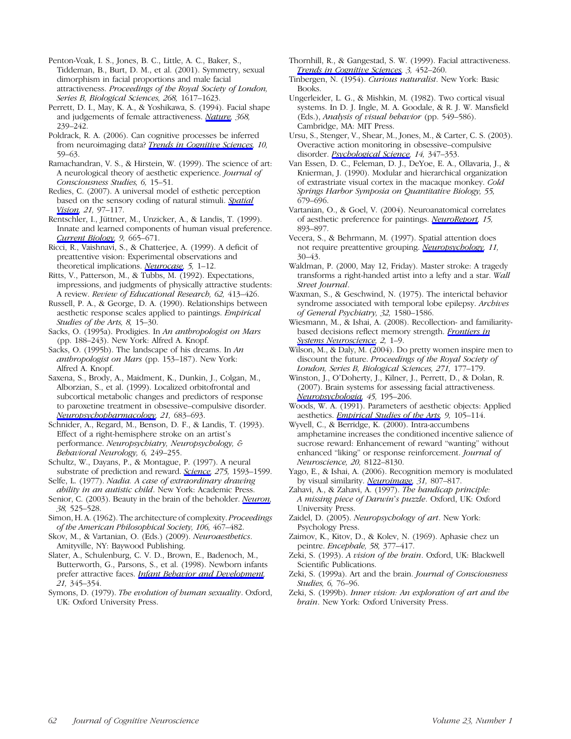Penton-Voak, I. S., Jones, B. C., Little, A. C., Baker, S.,

Tiddeman, B., Burt, D. M., et al. (2001). Symmetry, sexual dimorphism in facial proportions and male facial attractiveness. Proceedings of the Royal Society of London, Series B, Biological Sciences, 268, 1617–1623.

Perrett, D. I., May, K. A., & Yoshikawa, S. (1994). Facial shape and judgements of female attractiveness. Nature, 368, 239–242.

Poldrack, R. A. (2006). Can cognitive processes be inferred from neuroimaging data? *Trends in Cognitive Sciences*, 10, 59–63.

Ramachandran, V. S., & Hirstein, W. (1999). The science of art: A neurological theory of aesthetic experience. Journal of Consciousness Studies, 6, 15–51.

Redies, C. (2007). A universal model of esthetic perception based on the sensory coding of natural stimuli. Spatial Vision, 21, 97-117.

Rentschler, I., Jüttner, M., Unzicker, A., & Landis, T. (1999). Innate and learned components of human visual preference. Current Biology, 9, 665–671.

Ricci, R., Vaishnavi, S., & Chatterjee, A. (1999). A deficit of preattentive vision: Experimental observations and theoretical implications. Neurocase, 5, 1-12.

Ritts, V., Patterson, M., & Tubbs, M. (1992). Expectations, impressions, and judgments of physically attractive students: A review. Review of Educational Research, 62, 413–426.

Russell, P. A., & George, D. A. (1990). Relationships between aesthetic response scales applied to paintings. Empirical Studies of the Arts, 8, 15-30.

Sacks, O. (1995a). Prodigies. In An anthropologist on Mars (pp. 188–243). New York: Alfred A. Knopf.

Sacks, O. (1995b). The landscape of his dreams. In An anthropologist on Mars (pp. 153–187). New York: Alfred A. Knopf.

Saxena, S., Brody, A., Maidment, K., Dunkin, J., Colgan, M., Alborzian, S., et al. (1999). Localized orbitofrontal and subcortical metabolic changes and predictors of response to paroxetine treatment in obsessive–compulsive disorder. Neuropsychopharmacology, 21, 683-693.

Schnider, A., Regard, M., Benson, D. F., & Landis, T. (1993). Effect of a right-hemisphere stroke on an artist's performance. Neuropsychiatry, Neuropsychology, & Behavioral Neurology, 6, 249–255.

Schultz, W., Dayans, P., & Montague, P. (1997). A neural substrate of prediction and reward. Science, 275, 1593-1599.

Selfe, L. (1977). Nadia. A case of extraordinary drawing ability in an autistic child. New York: Academic Press.

Senior, C. (2003). Beauty in the brain of the beholder. *Neuron*, 38, 525–528.

Simon, H. A. (1962). The architecture of complexity. Proceedings of the American Philosophical Society, 106, 467–482.

Skov, M., & Vartanian, O. (Eds.) (2009). Neuroaesthetics. Amityville, NY: Baywood Publishing.

Slater, A., Schulenburg, C. V. D., Brown, E., Badenoch, M., Butterworth, G., Parsons, S., et al. (1998). Newborn infants prefer attractive faces. *Infant Behavior and Development*, 21, 345–354.

Symons, D. (1979). The evolution of human sexuality. Oxford, UK: Oxford University Press.

Thornhill, R., & Gangestad, S. W. (1999). Facial attractiveness. Trends in Cognitive Sciences, 3, 452–260.

Tinbergen, N. (1954). Curious naturalist. New York: Basic Books.

Ungerleider, L. G., & Mishkin, M. (1982). Two cortical visual systems. In D. J. Ingle, M. A. Goodale, & R. J. W. Mansfield (Eds.), Analysis of visual behavior (pp. 549–586). Cambridge, MA: MIT Press.

Ursu, S., Stenger, V., Shear, M., Jones, M., & Carter, C. S. (2003). Overactive action monitoring in obsessive–compulsive disorder. Psychological Science, 14, 347-353.

Van Essen, D. C., Feleman, D. J., DeYoe, E. A., Ollavaria, J., & Knierman, J. (1990). Modular and hierarchical organization of extrastriate visual cortex in the macaque monkey. Cold Springs Harbor Symposia on Quantitative Biology, 55, 679–696.

Vartanian, O., & Goel, V. (2004). Neuroanatomical correlates of aesthetic preference for paintings. NeuroReport, 15, 893–897.

Vecera, S., & Behrmann, M. (1997). Spatial attention does not require preattentive grouping. Neuropsychology, 11, 30–43.

Waldman, P. (2000, May 12, Friday). Master stroke: A tragedy transforms a right-handed artist into a lefty and a star. Wall Street Journal.

Waxman, S., & Geschwind, N. (1975). The interictal behavior syndrome associated with temporal lobe epilepsy. Archives of General Psychiatry, 32, 1580–1586.

Wiesmann, M., & Ishai, A. (2008). Recollection- and familiaritybased decisions reflect memory strength. **Frontiers in** Systems Neuroscience, 2, 1–9.

Wilson, M., & Daly, M. (2004). Do pretty women inspire men to discount the future. Proceedings of the Royal Society of London, Series B, Biological Sciences, 271, 177–179.

Winston, J., O'Doherty, J., Kilner, J., Perrett, D., & Dolan, R. (2007). Brain systems for assessing facial attractiveness. Neuropsychologia, 45, 195–206.

Woods, W. A. (1991). Parameters of aesthetic objects: Applied aesthetics. *Empirical Studies of the Arts*, 9, 105-114.

Wyvell, C., & Berridge, K. (2000). Intra-accumbens amphetamine increases the conditioned incentive salience of sucrose reward: Enhancement of reward "wanting" without enhanced "liking" or response reinforcement. Journal of Neuroscience, 20, 8122–8130.

Yago, E., & Ishai, A. (2006). Recognition memory is modulated by visual similarity. *Neuroimage*, 31, 807-817.

Zahavi, A., & Zahavi, A. (1997). The handicap principle: A missing piece of Darwin's puzzle. Oxford, UK: Oxford University Press.

Zaidel, D. (2005). Neuropsychology of art. New York: Psychology Press.

Zaimov, K., Kitov, D., & Kolev, N. (1969). Aphasie chez un peintre. Encephale, 58, 377–417.

Zeki, S. (1993). A vision of the brain. Oxford, UK: Blackwell Scientific Publications.

Zeki, S. (1999a). Art and the brain. Journal of Consciousness Studies, 6, 76–96.

Zeki, S. (1999b). Inner vision: An exploration of art and the brain. New York: Oxford University Press.